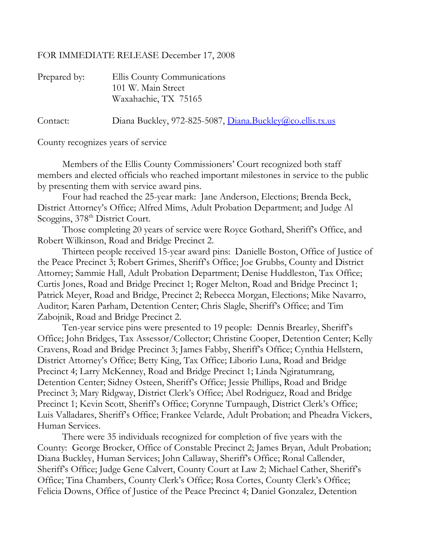## FOR IMMEDIATE RELEASE December 17, 2008

| Prepared by: | Ellis County Communications<br>101 W. Main Street<br>Waxahachie, TX 75165 |
|--------------|---------------------------------------------------------------------------|
| Contact:     | Diana Buckley, 972-825-5087, Diana.Buckley@co.ellis.tx.us                 |

County recognizes years of service

Members of the Ellis County Commissioners' Court recognized both staff members and elected officials who reached important milestones in service to the public by presenting them with service award pins.

Four had reached the 25-year mark: Jane Anderson, Elections; Brenda Beck, District Attorney's Office; Alfred Mims, Adult Probation Department; and Judge Al Scoggins, 378<sup>th</sup> District Court.

Those completing 20 years of service were Royce Gothard, Sheriff's Office, and Robert Wilkinson, Road and Bridge Precinct 2.

Thirteen people received 15-year award pins: Danielle Boston, Office of Justice of the Peace Precinct 3; Robert Grimes, Sheriff's Office; Joe Grubbs, County and District Attorney; Sammie Hall, Adult Probation Department; Denise Huddleston, Tax Office; Curtis Jones, Road and Bridge Precinct 1; Roger Melton, Road and Bridge Precinct 1; Patrick Meyer, Road and Bridge, Precinct 2; Rebecca Morgan, Elections; Mike Navarro, Auditor; Karen Parham, Detention Center; Chris Slagle, Sheriff's Office; and Tim Zabojnik, Road and Bridge Precinct 2.

Ten-year service pins were presented to 19 people: Dennis Brearley, Sheriff's Office; John Bridges, Tax Assessor/Collector; Christine Cooper, Detention Center; Kelly Cravens, Road and Bridge Precinct 3; James Fabby, Sheriff's Office; Cynthia Hellstern, District Attorney's Office; Betty King, Tax Office; Liborio Luna, Road and Bridge Precinct 4; Larry McKenney, Road and Bridge Precinct 1; Linda Ngiratumrang, Detention Center; Sidney Osteen, Sheriff's Office; Jessie Phillips, Road and Bridge Precinct 3; Mary Ridgway, District Clerk's Office; Abel Rodriguez, Road and Bridge Precinct 1; Kevin Scott, Sheriff's Office; Corynne Turnpaugh, District Clerk's Office; Luis Valladares, Sheriff's Office; Frankee Velarde, Adult Probation; and Pheadra Vickers, Human Services.

There were 35 individuals recognized for completion of five years with the County: George Brocker, Office of Constable Precinct 2; James Bryan, Adult Probation; Diana Buckley, Human Services; John Callaway, Sheriff's Office; Ronal Callender, Sheriff's Office; Judge Gene Calvert, County Court at Law 2; Michael Cather, Sheriff's Office; Tina Chambers, County Clerk's Office; Rosa Cortes, County Clerk's Office; Felicia Downs, Office of Justice of the Peace Precinct 4; Daniel Gonzalez, Detention